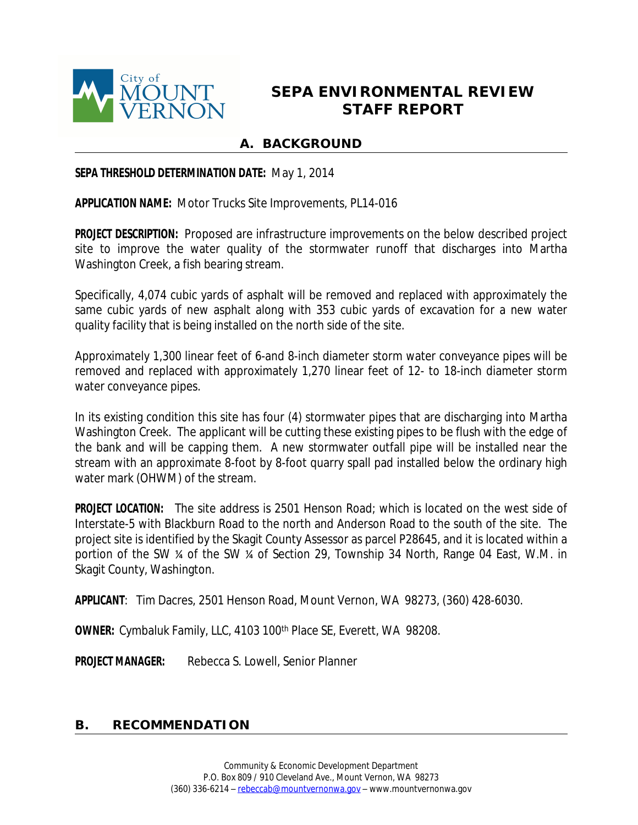

# **SEPA ENVIRONMENTAL REVIEW STAFF REPORT**

# **A. BACKGROUND**

#### **SEPA THRESHOLD DETERMINATION DATE:** May 1, 2014

**APPLICATION NAME:** Motor Trucks Site Improvements, PL14-016

**PROJECT DESCRIPTION:** Proposed are infrastructure improvements on the below described project site to improve the water quality of the stormwater runoff that discharges into Martha Washington Creek, a fish bearing stream.

Specifically, 4,074 cubic yards of asphalt will be removed and replaced with approximately the same cubic yards of new asphalt along with 353 cubic yards of excavation for a new water quality facility that is being installed on the north side of the site.

Approximately 1,300 linear feet of 6-and 8-inch diameter storm water conveyance pipes will be removed and replaced with approximately 1,270 linear feet of 12- to 18-inch diameter storm water conveyance pipes.

In its existing condition this site has four (4) stormwater pipes that are discharging into Martha Washington Creek. The applicant will be cutting these existing pipes to be flush with the edge of the bank and will be capping them. A new stormwater outfall pipe will be installed near the stream with an approximate 8-foot by 8-foot quarry spall pad installed below the ordinary high water mark (OHWM) of the stream.

**PROJECT LOCATION:** The site address is 2501 Henson Road; which is located on the west side of Interstate-5 with Blackburn Road to the north and Anderson Road to the south of the site. The project site is identified by the Skagit County Assessor as parcel P28645, and it is located within a portion of the SW ¼ of the SW ¼ of Section 29, Township 34 North, Range 04 East, W.M. in Skagit County, Washington.

**APPLICANT**: Tim Dacres, 2501 Henson Road, Mount Vernon, WA 98273, (360) 428-6030.

**OWNER:** Cymbaluk Family, LLC, 4103 100th Place SE, Everett, WA 98208.

**PROJECT MANAGER:** Rebecca S. Lowell, Senior Planner

#### **B. RECOMMENDATION**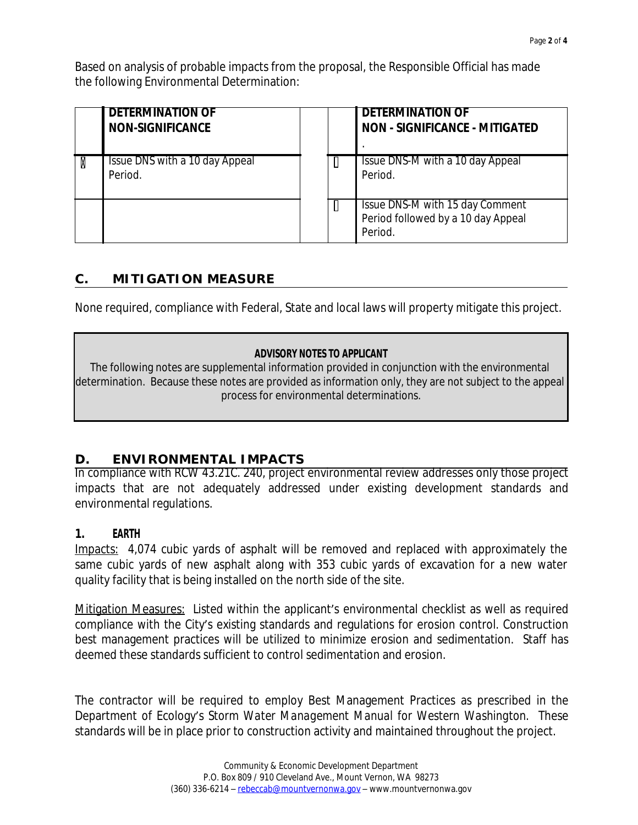Based on analysis of probable impacts from the proposal, the Responsible Official has made the following Environmental Determination:

| <b>DETERMINATION OF</b><br><b>NON-SIGNIFICANCE</b> |  | <b>DETERMINATION OF</b><br><b>NON - SIGNIFICANCE - MITIGATED</b>                 |
|----------------------------------------------------|--|----------------------------------------------------------------------------------|
| Issue DNS with a 10 day Appeal<br>Period.          |  | Issue DNS-M with a 10 day Appeal<br>Period.                                      |
|                                                    |  | Issue DNS-M with 15 day Comment<br>Period followed by a 10 day Appeal<br>Period. |

# **C. MITIGATION MEASURE**

None required, compliance with Federal, State and local laws will property mitigate this project.

#### **ADVISORY NOTES TO APPLICANT**

The following notes are supplemental information provided in conjunction with the environmental determination. Because these notes are provided as information only, they are not subject to the appeal process for environmental determinations.

# **D. ENVIRONMENTAL IMPACTS**

In compliance with RCW 43.21C. 240, project environmental review addresses only those project impacts that are not adequately addressed under existing development standards and environmental regulations.

#### **1. EARTH**

Impacts: 4,074 cubic yards of asphalt will be removed and replaced with approximately the same cubic yards of new asphalt along with 353 cubic yards of excavation for a new water quality facility that is being installed on the north side of the site.

Mitigation Measures: Listed within the applicant's environmental checklist as well as required compliance with the City's existing standards and regulations for erosion control. Construction best management practices will be utilized to minimize erosion and sedimentation. Staff has deemed these standards sufficient to control sedimentation and erosion.

The contractor will be required to employ Best Management Practices as prescribed in the Department of Ecology's *Storm Water Management Manual for Western Washington.* These standards will be in place prior to construction activity and maintained throughout the project.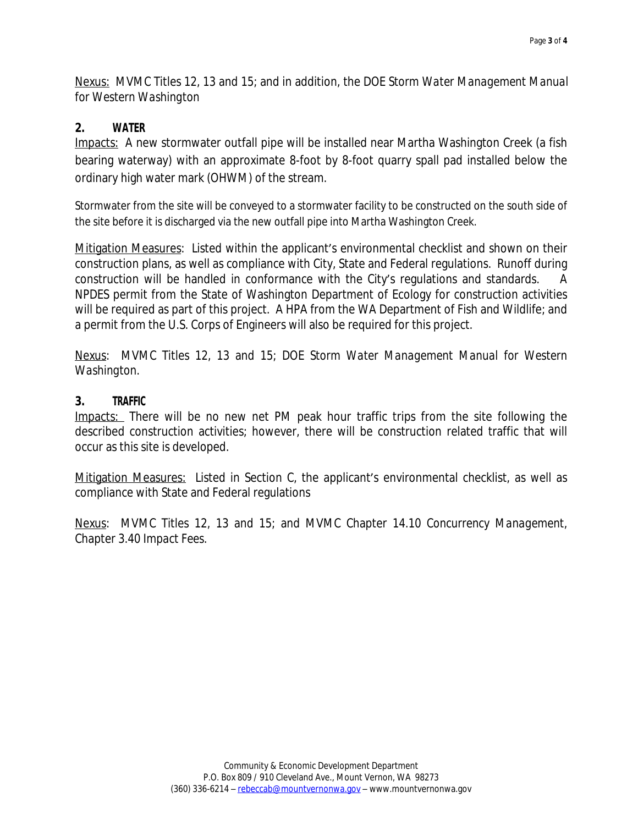Nexus: MVMC Titles 12, 13 and 15; and in addition, the DOE *Storm Water Management Manual for Western Washington*

# **2. WATER**

Impacts: A new stormwater outfall pipe will be installed near Martha Washington Creek (a fish bearing waterway) with an approximate 8-foot by 8-foot quarry spall pad installed below the ordinary high water mark (OHWM) of the stream.

Stormwater from the site will be conveyed to a stormwater facility to be constructed on the south side of the site before it is discharged via the new outfall pipe into Martha Washington Creek.

Mitigation Measures: Listed within the applicant's environmental checklist and shown on their construction plans, as well as compliance with City, State and Federal regulations. Runoff during construction will be handled in conformance with the City's regulations and standards. A NPDES permit from the State of Washington Department of Ecology for construction activities will be required as part of this project. A HPA from the WA Department of Fish and Wildlife; and a permit from the U.S. Corps of Engineers will also be required for this project.

Nexus: MVMC Titles 12, 13 and 15; DOE *Storm Water Management Manual for Western Washington.*

### **3. TRAFFIC**

Impacts: There will be no new net PM peak hour traffic trips from the site following the described construction activities; however, there will be construction related traffic that will occur as this site is developed.

Mitigation Measures: Listed in Section C, the applicant's environmental checklist, as well as compliance with State and Federal regulations

Nexus: MVMC Titles 12, 13 and 15; and MVMC Chapter 14.10 *Concurrency Management*, Chapter 3.40 *Impact Fees.*